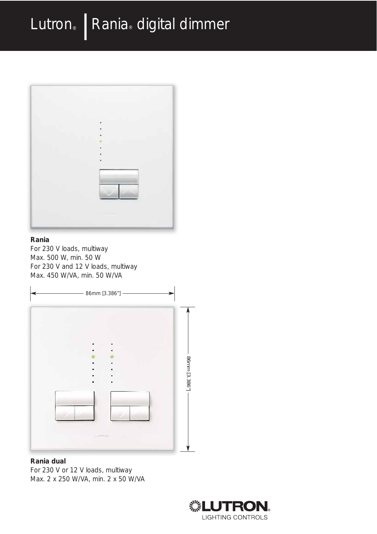

#### **Rania**

For 230 V loads, multiway Max. 500 W, min. 50 W For 230 V and 12 V loads, multiway Max. 450 W/VA, min. 50 W/VA



#### **Rania dual**

For 230 V or 12 V loads, multiway Max. 2 x 250 W/VA, min. 2 x 50 W/VA

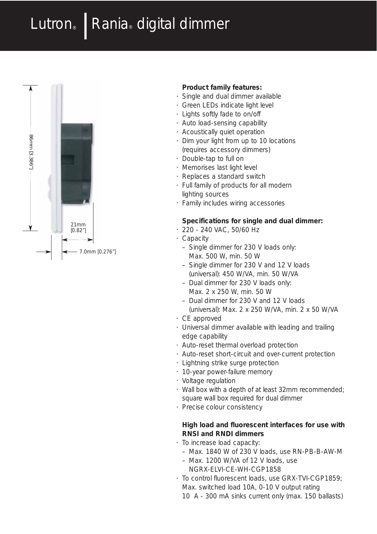# Lutron® | Rania® digital dimmer



#### **Product family features:**

- Single and dual dimmer available
- Green LEDs indicate light level
- Lights softly fade to on/off
- Auto load-sensing capability
- Acoustically quiet operation
- Dim your light from up to 10 locations (requires accessory dimmers)
- Double-tap to full on
- Memorises last light level
- Replaces a standard switch
- Full family of products for all modern lighting sources
- Family includes wiring accessories

#### **Specifications for single and dual dimmer:**

- 220 240 VAC, 50/60 Hz
- Capacity
	- Single dimmer for 230 V loads only: Max. 500 W, min. 50 W
	- Single dimmer for 230 V and 12 V loads
	- (universal): 450 W/VA, min. 50 W/VA – Dual dimmer for 230 V loads only: Max. 2 x 250 W, min. 50 W
	- Dual dimmer for 230 V and 12 V loads
	- (universal): Max. 2 x 250 W/VA, min. 2 x 50 W/VA
- CE approved
- Universal dimmer available with leading and trailing edge capability
- Auto-reset thermal overload protection
- Auto-reset short-circuit and over-current protection
- Lightning strike surge protection
- 10-year power-failure memory
- Voltage regulation
- Wall box with a depth of at least 32mm recommended; square wall box required for dual dimmer
- Precise colour consistency

#### **High load and fluorescent interfaces for use with RNSI and RNDI dimmers**

- To increase load capacity:
	- Max. 1840 W of 230 V loads, use RN-PB-B-AW-M
	- Max. 1200 W/VA of 12 V loads, use NGRX-ELVI-CE-WH-CGP1858
- To control fluorescent loads, use GRX-TVI-CGP1859; Max. switched load 10A, 0-10 V output rating
	- 10 A 300 mA sinks current only (max. 150 ballasts)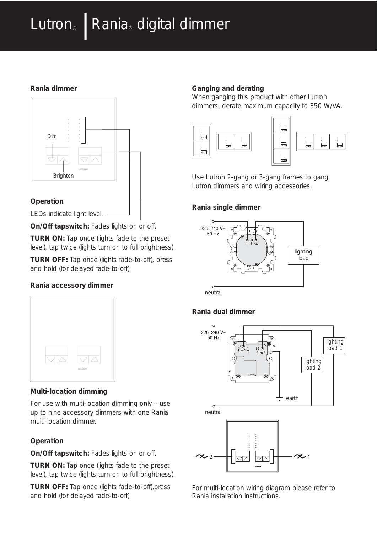# Lutron® | Rania® digital dimmer

## **Rania dimmer**



### **Operation**

LEDs indicate light level. -

**On/Off tapswitch:** Fades lights on or off.

**TURN ON:** Tap once (lights fade to the preset level), tap twice (lights turn on to full brightness).

**TURN OFF:** Tap once (lights fade-to-off), press and hold (for delayed fade-to-off).

## **Rania accessory dimmer**



### **Multi-location dimming**

For use with multi-location dimming only – use up to nine accessory dimmers with one Rania multi-location dimmer.

## **Operation**

**On/Off tapswitch:** Fades lights on or off.

**TURN ON:** Tap once (lights fade to the preset level), tap twice (lights turn on to full brightness).

**TURN OFF:** Tap once (lights fade-to-off),press and hold (for delayed fade-to-off).

## **Ganging and derating**

When ganging this product with other Lutron dimmers, derate maximum capacity to 350 W/VA.





Use Lutron 2-gang or 3-gang frames to gang Lutron dimmers and wiring accessories.

## **Rania single dimmer**



neutral

## **Rania dual dimmer**



For multi-location wiring diagram please refer to Rania installation instructions.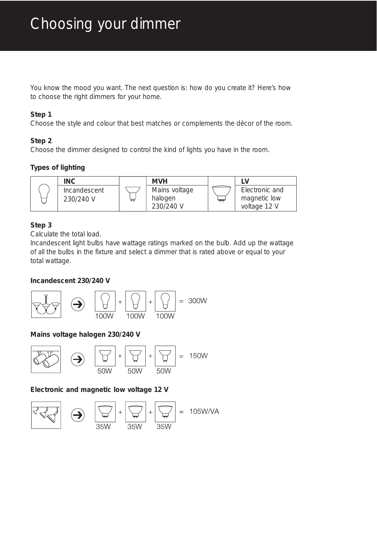You know the mood you want. The next question is: how do you create it? Here's how to choose the right dimmers for your home.

### **Step 1**

Choose the style and colour that best matches or complements the décor of the room.

## **Step 2**

Choose the dimmer designed to control the kind of lights you have in the room.

# **Types of lighting**



# **Step 3**

Calculate the total load.

Incandescent light bulbs have wattage ratings marked on the bulb. Add up the wattage of all the bulbs in the fixture and select a dimmer that is rated above or equal to your total wattage.

## **Incandescent 230/240 V**



# **Mains voltage halogen 230/240 V**



**Electronic and magnetic low voltage 12 V**

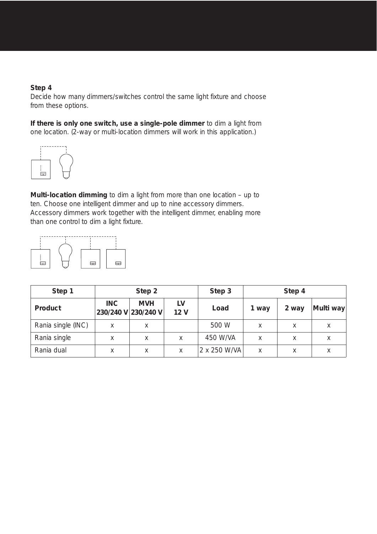### **Step 4**

Decide how many dimmers/switches control the same light fixture and choose from these options.

**If there is only one switch, use a single-pole dimmer** to dim a light from one location. (2-way or multi-location dimmers will work in this application.)



**Multi-location dimming** to dim a light from more than one location – up to ten. Choose one intelligent dimmer and up to nine accessory dimmers. Accessory dimmers work together with the intelligent dimmer, enabling more than one control to dim a light fixture.



| Step 1             | Step 2     |                                   |                       | Step 3       | Step 4 |       |           |
|--------------------|------------|-----------------------------------|-----------------------|--------------|--------|-------|-----------|
| Product            | <b>INC</b> | <b>MVH</b><br>230/240 V 230/240 V | LV<br>12 <sub>V</sub> | Load         | 1 way  | 2 way | Multi way |
| Rania single (INC) | Χ          | X                                 |                       | 500 W        | Χ      | Χ     | Χ         |
| Rania single       | Χ          | Χ                                 | X                     | 450 W/VA     | X      | X     | X         |
| Rania dual         | Χ          | X                                 | X                     | 2 x 250 W/VA | X      | Χ     | Χ         |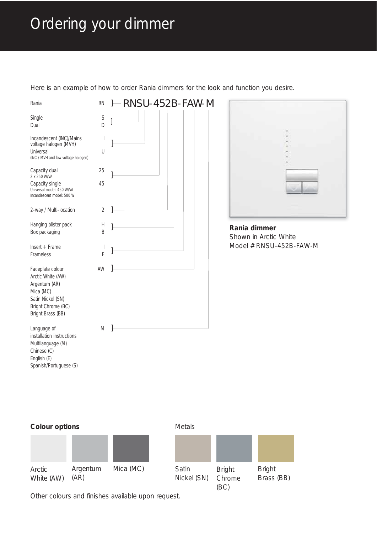# Ordering your dimmer

Here is an example of how to order Rania dimmers for the look and function you desire.

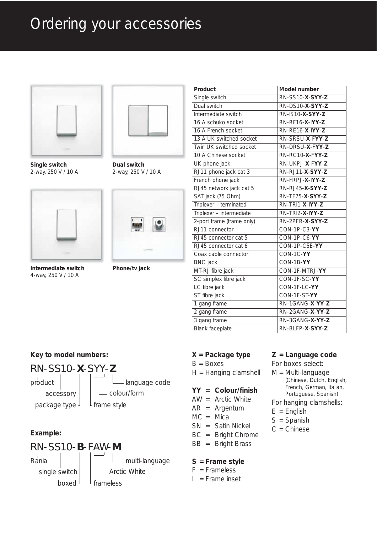# Ordering your accessories



**Single switch**  2-way, 250 V / 10 A



**Intermediate switch**  4-way, 250 V / 10 A



**Dual switch**  2-way, 250 V / 10 A



**Phone/tv jack**

| Product                   | Model number                      |  |  |
|---------------------------|-----------------------------------|--|--|
| Single switch             | RN-SS10-X-SYY-Z                   |  |  |
| Dual switch               | RN-DS10-X-SYY-Z                   |  |  |
| Intermediate switch       | RN-IS10-X-SYY-Z                   |  |  |
| 16 A schuko socket        | RN-RF16-X-IYY-Z                   |  |  |
| 16 A French socket        | RN-RE16-X-IYY-Z                   |  |  |
| 13 A UK switched socket   | RN-SRSU-X-FYY-Z                   |  |  |
| Twin UK switched socket   | RN-DRSU-X-FYY-Z                   |  |  |
| 10 A Chinese socket       | $RN$ - $RC$ 10- $X$ - $FYY$ - $Z$ |  |  |
| UK phone jack             | RN-UKPJ-X-FYY-Z                   |  |  |
| RJ11 phone jack cat 3     | RN-RJ11-X-SYY-Z                   |  |  |
| French phone jack         | RN-FRPJ-X-IYY-Z                   |  |  |
| RJ45 network jack cat 5   | RN-RJ45-X-SYY-Z                   |  |  |
| SAT jack (75 Ohm)         | RN-TF75-X-SYY-Z                   |  |  |
| Triplexer - terminated    | RN-TRI1-X-IYY-Z                   |  |  |
| Triplexer - intermediate  | RN-TRI2-X-IYY-Z                   |  |  |
| 2-port frame (frame only) | RN-2PFR-X-SYY-Z                   |  |  |
| RJ11 connector            | CON-1P-C3-YY                      |  |  |
| RJ45 connector cat 5      | CON-1P-C6-YY                      |  |  |
| RJ45 connector cat 6      | CON-1P-C5E-YY                     |  |  |
| Coax cable connector      | CON-1C-YY                         |  |  |
| <b>BNC</b> jack           | CON-1B-YY                         |  |  |
| MT-RJ fibre jack          | CON-1F-MTRJ-YY                    |  |  |
| SC simplex fibre jack     | CON-1F-SC-YY                      |  |  |
| LC fibre jack             | CON-1F-LC-YY                      |  |  |
| ST fibre jack             | CON-1F-ST-YY                      |  |  |
| 1 gang frame              | RN-1GANG-X-YY-Z                   |  |  |
| 2 gang frame              | RN-2GANG-X-YY-Z                   |  |  |
| 3 gang frame              | RN-3GANG-X-YY-Z                   |  |  |
| Blank faceplate           | RN-BLFP-X-SYY-Z                   |  |  |

#### **X = Package type**

B = Boxes

H = Hanging clamshell

#### **YY = Colour/finish**

- AW = Arctic White
- AR = Argentum
- MC = Mica
- SN = Satin Nickel
- BC = Bright Chrome
- BB = Bright Brass

#### **S = Frame style**

- $F =$ Frameless
- $I =$  Frame inset

### **Z = Language code**

For boxes select:

M = Multi-language (Chinese, Dutch, English, French, German, Italian, Portuguese, Spanish)

#### For hanging clamshells:

- $E =$  English
- S = Spanish
- C = Chinese

# accessory

RN-SS10-**X**-SYY-**Z**

**Key to model numbers:**

package type



### **Example:**

#### RN-SS10-**B**-FAW-**M** - multi-language single switch boxed Arctic White frameless